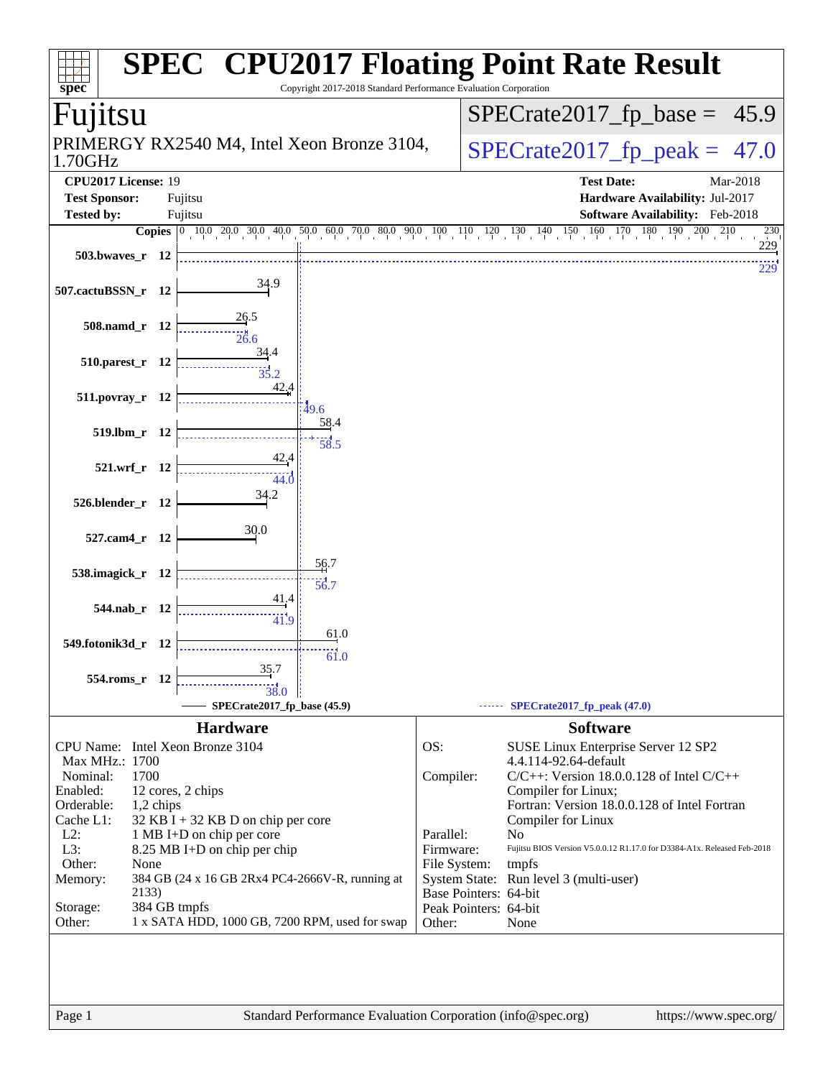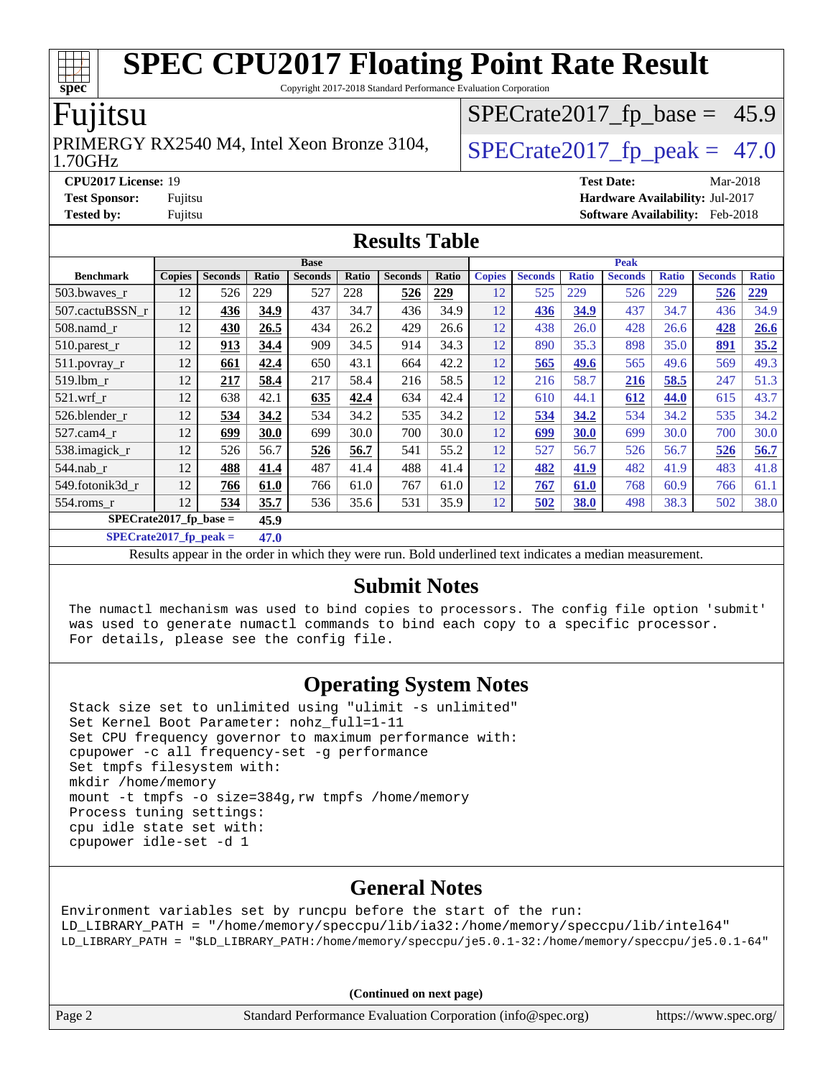Copyright 2017-2018 Standard Performance Evaluation Corporation

#### Fujitsu

#### 1.70GHz PRIMERGY RX2540 M4, Intel Xeon Bronze 3104,  $\big|$  SPECrate 2017 fp peak = 47.0

 $SPECTate2017_fp\_base = 45.9$ 

**[CPU2017 License:](http://www.spec.org/auto/cpu2017/Docs/result-fields.html#CPU2017License)** 19 **[Test Date:](http://www.spec.org/auto/cpu2017/Docs/result-fields.html#TestDate)** Mar-2018 **[Test Sponsor:](http://www.spec.org/auto/cpu2017/Docs/result-fields.html#TestSponsor)** Fujitsu **[Hardware Availability:](http://www.spec.org/auto/cpu2017/Docs/result-fields.html#HardwareAvailability)** Jul-2017 **[Tested by:](http://www.spec.org/auto/cpu2017/Docs/result-fields.html#Testedby)** Fujitsu **Fugital Example 2018 [Software Availability:](http://www.spec.org/auto/cpu2017/Docs/result-fields.html#SoftwareAvailability)** Feb-2018

#### **[Results Table](http://www.spec.org/auto/cpu2017/Docs/result-fields.html#ResultsTable)**

|                          | <b>Base</b>   |                |       |                |       | <b>Peak</b>    |            |               |                |              |                |              |                |              |
|--------------------------|---------------|----------------|-------|----------------|-------|----------------|------------|---------------|----------------|--------------|----------------|--------------|----------------|--------------|
| <b>Benchmark</b>         | <b>Copies</b> | <b>Seconds</b> | Ratio | <b>Seconds</b> | Ratio | <b>Seconds</b> | Ratio      | <b>Copies</b> | <b>Seconds</b> | <b>Ratio</b> | <b>Seconds</b> | <b>Ratio</b> | <b>Seconds</b> | <b>Ratio</b> |
| 503.bwayes_r             | 12            | 526            | 229   | 527            | 228   | 526            | <u>229</u> | 12            | 525            | 229          | 526            | 229          | 526            | 229          |
| 507.cactuBSSN r          | 12            | 436            | 34.9  | 437            | 34.7  | 436            | 34.9       | 12            | 436            | 34.9         | 437            | 34.7         | 436            | 34.9         |
| $508$ .namd $r$          | 12            | 430            | 26.5  | 434            | 26.2  | 429            | 26.6       | 12            | 438            | 26.0         | 428            | 26.6         | 428            | 26.6         |
| 510.parest_r             | 12            | 913            | 34.4  | 909            | 34.5  | 914            | 34.3       | 12            | 890            | 35.3         | 898            | 35.0         | 891            | 35.2         |
| 511.povray_r             | 12            | 661            | 42.4  | 650            | 43.1  | 664            | 42.2       | 12            | 565            | 49.6         | 565            | 49.6         | 569            | 49.3         |
| 519.lbm r                | 12            | 217            | 58.4  | 217            | 58.4  | 216            | 58.5       | 12            | 216            | 58.7         | 216            | 58.5         | 247            | 51.3         |
| $521$ .wrf r             | 12            | 638            | 42.1  | 635            | 42.4  | 634            | 42.4       | 12            | 610            | 44.1         | 612            | 44.0         | 615            | 43.7         |
| 526.blender r            | 12            | 534            | 34.2  | 534            | 34.2  | 535            | 34.2       | 12            | 534            | 34.2         | 534            | 34.2         | 535            | 34.2         |
| 527.cam4_r               | 12            | 699            | 30.0  | 699            | 30.0  | 700            | 30.0       | 12            | 699            | 30.0         | 699            | 30.0         | 700            | 30.0         |
| 538.imagick_r            | 12            | 526            | 56.7  | 526            | 56.7  | 541            | 55.2       | 12            | 527            | 56.7         | 526            | 56.7         | 526            | 56.7         |
| $544$ .nab r             | 12            | 488            | 41.4  | 487            | 41.4  | 488            | 41.4       | 12            | 482            | 41.9         | 482            | 41.9         | 483            | 41.8         |
| 549.fotonik3d r          | 12            | 766            | 61.0  | 766            | 61.0  | 767            | 61.0       | 12            | 767            | 61.0         | 768            | 60.9         | 766            | 61.1         |
| 554.roms r               | 12            | 534            | 35.7  | 536            | 35.6  | 531            | 35.9       | 12            | 502            | 38.0         | 498            | 38.3         | 502            | 38.0         |
| $SPECrate2017$ fp base = |               |                | 45.9  |                |       |                |            |               |                |              |                |              |                |              |

**[SPECrate2017\\_fp\\_peak =](http://www.spec.org/auto/cpu2017/Docs/result-fields.html#SPECrate2017fppeak) 47.0**

Results appear in the [order in which they were run.](http://www.spec.org/auto/cpu2017/Docs/result-fields.html#RunOrder) Bold underlined text [indicates a median measurement.](http://www.spec.org/auto/cpu2017/Docs/result-fields.html#Median)

#### **[Submit Notes](http://www.spec.org/auto/cpu2017/Docs/result-fields.html#SubmitNotes)**

 The numactl mechanism was used to bind copies to processors. The config file option 'submit' was used to generate numactl commands to bind each copy to a specific processor. For details, please see the config file.

### **[Operating System Notes](http://www.spec.org/auto/cpu2017/Docs/result-fields.html#OperatingSystemNotes)**

 Stack size set to unlimited using "ulimit -s unlimited" Set Kernel Boot Parameter: nohz\_full=1-11 Set CPU frequency governor to maximum performance with: cpupower -c all frequency-set -g performance Set tmpfs filesystem with: mkdir /home/memory mount -t tmpfs -o size=384g,rw tmpfs /home/memory Process tuning settings: cpu idle state set with: cpupower idle-set -d 1

### **[General Notes](http://www.spec.org/auto/cpu2017/Docs/result-fields.html#GeneralNotes)**

Environment variables set by runcpu before the start of the run: LD\_LIBRARY\_PATH = "/home/memory/speccpu/lib/ia32:/home/memory/speccpu/lib/intel64" LD\_LIBRARY\_PATH = "\$LD\_LIBRARY\_PATH:/home/memory/speccpu/je5.0.1-32:/home/memory/speccpu/je5.0.1-64"

**(Continued on next page)**

Page 2 Standard Performance Evaluation Corporation [\(info@spec.org\)](mailto:info@spec.org) <https://www.spec.org/>

**[spec](http://www.spec.org/)**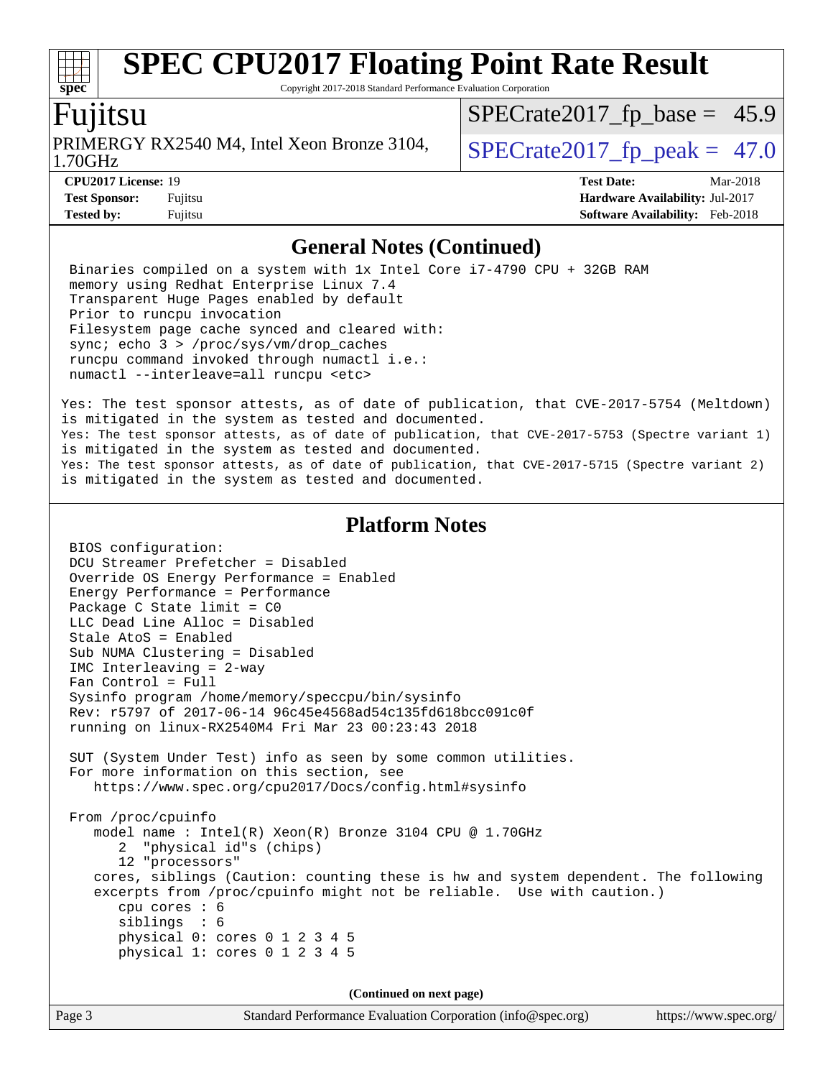Copyright 2017-2018 Standard Performance Evaluation Corporation

### `untsu

**[spec](http://www.spec.org/)**

1.70GHz PRIMERGY RX2540 M4, Intel Xeon Bronze 3104,  $\big|$  SPECrate 2017 fp peak = 47.0

 $SPECTate2017_fp\_base = 45.9$ 

**[CPU2017 License:](http://www.spec.org/auto/cpu2017/Docs/result-fields.html#CPU2017License)** 19 **[Test Date:](http://www.spec.org/auto/cpu2017/Docs/result-fields.html#TestDate)** Mar-2018 **[Test Sponsor:](http://www.spec.org/auto/cpu2017/Docs/result-fields.html#TestSponsor)** Fujitsu **[Hardware Availability:](http://www.spec.org/auto/cpu2017/Docs/result-fields.html#HardwareAvailability)** Jul-2017 **[Tested by:](http://www.spec.org/auto/cpu2017/Docs/result-fields.html#Testedby)** Fujitsu **[Software Availability:](http://www.spec.org/auto/cpu2017/Docs/result-fields.html#SoftwareAvailability)** Feb-2018

#### **[General Notes \(Continued\)](http://www.spec.org/auto/cpu2017/Docs/result-fields.html#GeneralNotes)**

 Binaries compiled on a system with 1x Intel Core i7-4790 CPU + 32GB RAM memory using Redhat Enterprise Linux 7.4 Transparent Huge Pages enabled by default Prior to runcpu invocation Filesystem page cache synced and cleared with: sync; echo 3 > /proc/sys/vm/drop\_caches runcpu command invoked through numactl i.e.: numactl --interleave=all runcpu <etc>

Yes: The test sponsor attests, as of date of publication, that CVE-2017-5754 (Meltdown) is mitigated in the system as tested and documented. Yes: The test sponsor attests, as of date of publication, that CVE-2017-5753 (Spectre variant 1) is mitigated in the system as tested and documented. Yes: The test sponsor attests, as of date of publication, that CVE-2017-5715 (Spectre variant 2) is mitigated in the system as tested and documented.

#### **[Platform Notes](http://www.spec.org/auto/cpu2017/Docs/result-fields.html#PlatformNotes)**

 BIOS configuration: DCU Streamer Prefetcher = Disabled Override OS Energy Performance = Enabled Energy Performance = Performance Package C State limit = C0 LLC Dead Line Alloc = Disabled Stale AtoS = Enabled Sub NUMA Clustering = Disabled IMC Interleaving = 2-way Fan Control = Full Sysinfo program /home/memory/speccpu/bin/sysinfo Rev: r5797 of 2017-06-14 96c45e4568ad54c135fd618bcc091c0f running on linux-RX2540M4 Fri Mar 23 00:23:43 2018 SUT (System Under Test) info as seen by some common utilities. For more information on this section, see <https://www.spec.org/cpu2017/Docs/config.html#sysinfo> From /proc/cpuinfo model name : Intel(R) Xeon(R) Bronze 3104 CPU @ 1.70GHz 2 "physical id"s (chips) 12 "processors" cores, siblings (Caution: counting these is hw and system dependent. The following excerpts from /proc/cpuinfo might not be reliable. Use with caution.) cpu cores : 6 siblings : 6 physical 0: cores 0 1 2 3 4 5 physical 1: cores 0 1 2 3 4 5

**(Continued on next page)**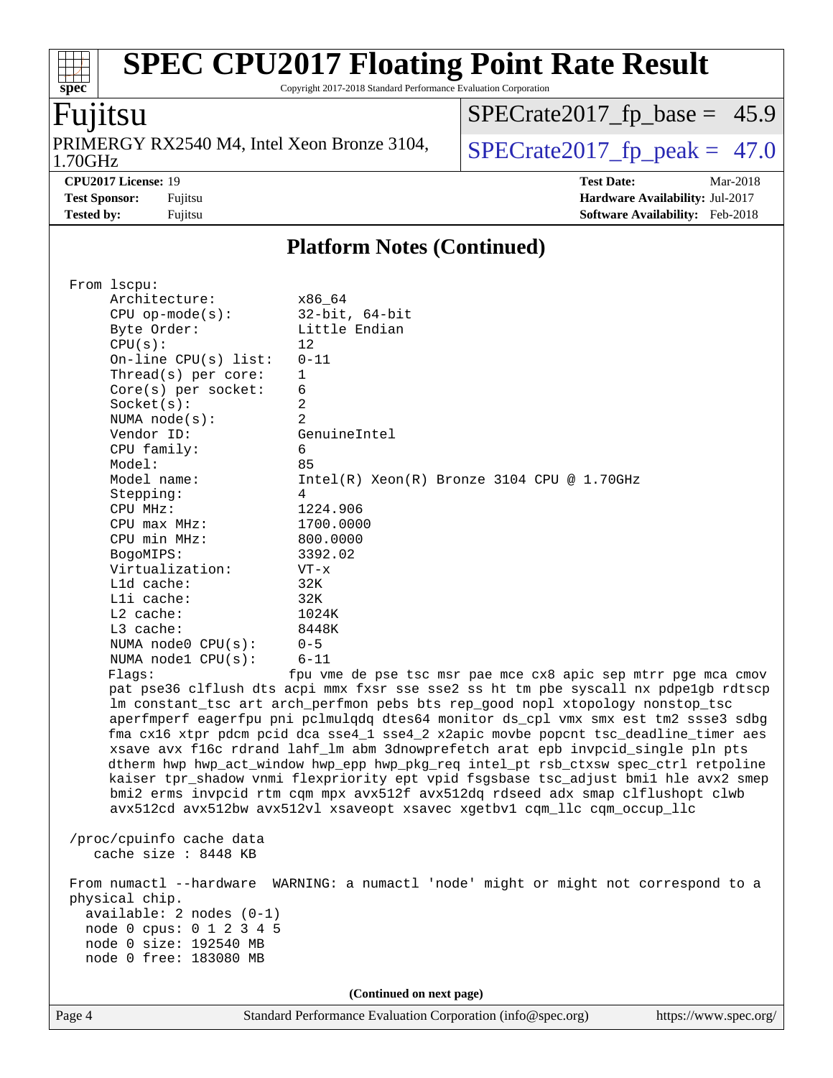Copyright 2017-2018 Standard Performance Evaluation Corporation

## Fujitsu

**[spec](http://www.spec.org/)**

 $\pm$ 

1.70GHz PRIMERGY RX2540 M4, Intel Xeon Bronze 3104,  $\big|$  SPECrate 2017 fp peak = 47.0

[SPECrate2017\\_fp\\_base =](http://www.spec.org/auto/cpu2017/Docs/result-fields.html#SPECrate2017fpbase) 45.9

**[CPU2017 License:](http://www.spec.org/auto/cpu2017/Docs/result-fields.html#CPU2017License)** 19 **[Test Date:](http://www.spec.org/auto/cpu2017/Docs/result-fields.html#TestDate)** Mar-2018 **[Test Sponsor:](http://www.spec.org/auto/cpu2017/Docs/result-fields.html#TestSponsor)** Fujitsu **[Hardware Availability:](http://www.spec.org/auto/cpu2017/Docs/result-fields.html#HardwareAvailability)** Jul-2017 **[Tested by:](http://www.spec.org/auto/cpu2017/Docs/result-fields.html#Testedby)** Fujitsu **Fugital Example 2018 [Software Availability:](http://www.spec.org/auto/cpu2017/Docs/result-fields.html#SoftwareAvailability)** Feb-2018

#### **[Platform Notes \(Continued\)](http://www.spec.org/auto/cpu2017/Docs/result-fields.html#PlatformNotes)**

| From 1scpu:                                                                                                                                                          |                                                                                      |  |  |  |  |
|----------------------------------------------------------------------------------------------------------------------------------------------------------------------|--------------------------------------------------------------------------------------|--|--|--|--|
| Architecture:                                                                                                                                                        | x86_64                                                                               |  |  |  |  |
| $CPU$ op-mode( $s$ ):                                                                                                                                                | 32-bit, 64-bit                                                                       |  |  |  |  |
|                                                                                                                                                                      | Little Endian                                                                        |  |  |  |  |
| Byte Order:                                                                                                                                                          |                                                                                      |  |  |  |  |
| CPU(s):                                                                                                                                                              | 12                                                                                   |  |  |  |  |
| On-line $CPU(s)$ list:                                                                                                                                               | $0 - 11$                                                                             |  |  |  |  |
| Thread(s) per core:                                                                                                                                                  | $\mathbf{1}$                                                                         |  |  |  |  |
| $Core(s)$ per socket:                                                                                                                                                | 6                                                                                    |  |  |  |  |
| Socket(s):                                                                                                                                                           | $\overline{a}$                                                                       |  |  |  |  |
| NUMA node(s):                                                                                                                                                        | 2                                                                                    |  |  |  |  |
| Vendor ID:                                                                                                                                                           | GenuineIntel                                                                         |  |  |  |  |
| CPU family:                                                                                                                                                          | 6                                                                                    |  |  |  |  |
| Model:                                                                                                                                                               | 85                                                                                   |  |  |  |  |
| Model name:                                                                                                                                                          | $Intel(R) Xeon(R) Bronze 3104 CPU @ 1.70GHz$                                         |  |  |  |  |
| Stepping:                                                                                                                                                            | 4                                                                                    |  |  |  |  |
| CPU MHz:                                                                                                                                                             | 1224.906                                                                             |  |  |  |  |
| $CPU$ $max$ $MHz$ :                                                                                                                                                  | 1700.0000                                                                            |  |  |  |  |
| CPU min MHz:                                                                                                                                                         | 800,0000                                                                             |  |  |  |  |
| BogoMIPS:                                                                                                                                                            | 3392.02                                                                              |  |  |  |  |
| Virtualization:                                                                                                                                                      | $VT - x$                                                                             |  |  |  |  |
| L1d cache:                                                                                                                                                           | 32K                                                                                  |  |  |  |  |
| Lli cache:                                                                                                                                                           | 32K                                                                                  |  |  |  |  |
| $L2$ cache:                                                                                                                                                          | 1024K                                                                                |  |  |  |  |
| L3 cache:                                                                                                                                                            | 8448K                                                                                |  |  |  |  |
| NUMA $node0$ $CPU(s)$ :                                                                                                                                              | $0 - 5$                                                                              |  |  |  |  |
| NUMA node1 CPU(s):                                                                                                                                                   | $6 - 11$                                                                             |  |  |  |  |
| Flaqs:                                                                                                                                                               | fpu vme de pse tsc msr pae mce cx8 apic sep mtrr pge mca cmov                        |  |  |  |  |
|                                                                                                                                                                      |                                                                                      |  |  |  |  |
| pat pse36 clflush dts acpi mmx fxsr sse sse2 ss ht tm pbe syscall nx pdpelgb rdtscp<br>lm constant_tsc art arch_perfmon pebs bts rep_good nopl xtopology nonstop_tsc |                                                                                      |  |  |  |  |
|                                                                                                                                                                      |                                                                                      |  |  |  |  |
|                                                                                                                                                                      | aperfmperf eagerfpu pni pclmulqdq dtes64 monitor ds_cpl vmx smx est tm2 ssse3 sdbg   |  |  |  |  |
| fma cx16 xtpr pdcm pcid dca sse4_1 sse4_2 x2apic movbe popcnt tsc_deadline_timer aes                                                                                 |                                                                                      |  |  |  |  |
| xsave avx f16c rdrand lahf_lm abm 3dnowprefetch arat epb invpcid_single pln pts                                                                                      |                                                                                      |  |  |  |  |
| dtherm hwp hwp_act_window hwp_epp hwp_pkg_req intel_pt rsb_ctxsw spec_ctrl retpoline                                                                                 |                                                                                      |  |  |  |  |
|                                                                                                                                                                      | kaiser tpr_shadow vnmi flexpriority ept vpid fsgsbase tsc_adjust bmil hle avx2 smep  |  |  |  |  |
|                                                                                                                                                                      | bmi2 erms invpcid rtm cqm mpx avx512f avx512dq rdseed adx smap clflushopt clwb       |  |  |  |  |
|                                                                                                                                                                      | avx512cd avx512bw avx512vl xsaveopt xsavec xgetbvl cqm_llc cqm_occup_llc             |  |  |  |  |
|                                                                                                                                                                      |                                                                                      |  |  |  |  |
| /proc/cpuinfo cache data                                                                                                                                             |                                                                                      |  |  |  |  |
| cache size : 8448 KB                                                                                                                                                 |                                                                                      |  |  |  |  |
|                                                                                                                                                                      |                                                                                      |  |  |  |  |
|                                                                                                                                                                      | From numactl --hardware WARNING: a numactl 'node' might or might not correspond to a |  |  |  |  |
| physical chip.                                                                                                                                                       |                                                                                      |  |  |  |  |
| available: 2 nodes (0-1)                                                                                                                                             |                                                                                      |  |  |  |  |
| node 0 cpus: 0 1 2 3 4 5                                                                                                                                             |                                                                                      |  |  |  |  |
| node 0 size: 192540 MB                                                                                                                                               |                                                                                      |  |  |  |  |
| node 0 free: 183080 MB                                                                                                                                               |                                                                                      |  |  |  |  |
|                                                                                                                                                                      |                                                                                      |  |  |  |  |
| (Continued on next page)                                                                                                                                             |                                                                                      |  |  |  |  |
|                                                                                                                                                                      |                                                                                      |  |  |  |  |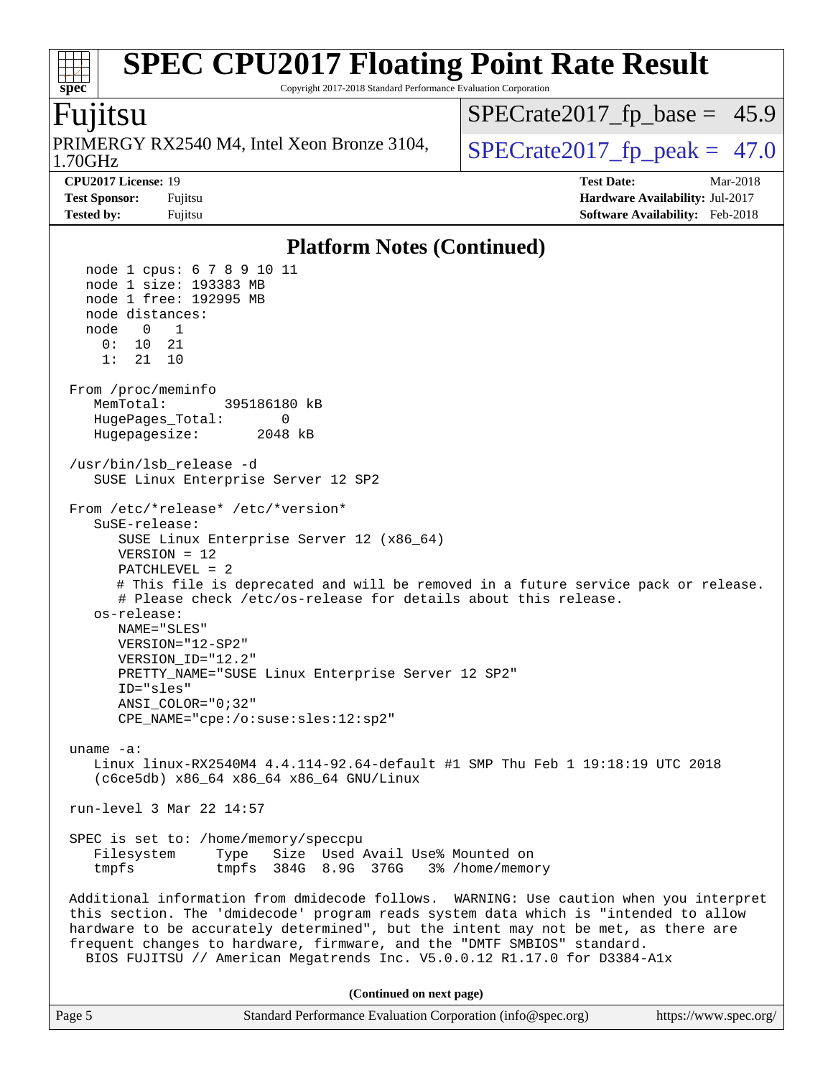Copyright 2017-2018 Standard Performance Evaluation Corporation

## Fujitsu

**[spec](http://www.spec.org/)**

1.70GHz PRIMERGY RX2540 M4, Intel Xeon Bronze 3104,  $\big|$  SPECrate 2017 fp peak = 47.0

 $SPECTate2017_fp\_base = 45.9$ 

**[CPU2017 License:](http://www.spec.org/auto/cpu2017/Docs/result-fields.html#CPU2017License)** 19 **[Test Date:](http://www.spec.org/auto/cpu2017/Docs/result-fields.html#TestDate)** Mar-2018 **[Test Sponsor:](http://www.spec.org/auto/cpu2017/Docs/result-fields.html#TestSponsor)** Fujitsu **[Hardware Availability:](http://www.spec.org/auto/cpu2017/Docs/result-fields.html#HardwareAvailability)** Jul-2017 **[Tested by:](http://www.spec.org/auto/cpu2017/Docs/result-fields.html#Testedby)** Fujitsu **[Software Availability:](http://www.spec.org/auto/cpu2017/Docs/result-fields.html#SoftwareAvailability)** Feb-2018

**[Platform Notes \(Continued\)](http://www.spec.org/auto/cpu2017/Docs/result-fields.html#PlatformNotes)** node 1 cpus: 6 7 8 9 10 11 node 1 size: 193383 MB node 1 free: 192995 MB node distances: node 0 1 0: 10 21 1: 21 10 From /proc/meminfo MemTotal: 395186180 kB HugePages\_Total: 0 Hugepagesize: 2048 kB /usr/bin/lsb\_release -d SUSE Linux Enterprise Server 12 SP2 From /etc/\*release\* /etc/\*version\* SuSE-release: SUSE Linux Enterprise Server 12 (x86\_64) VERSION = 12 PATCHLEVEL = 2 # This file is deprecated and will be removed in a future service pack or release. # Please check /etc/os-release for details about this release. os-release: NAME="SLES" VERSION="12-SP2" VERSION\_ID="12.2" PRETTY\_NAME="SUSE Linux Enterprise Server 12 SP2" ID="sles" ANSI\_COLOR="0;32" CPE\_NAME="cpe:/o:suse:sles:12:sp2" uname -a: Linux linux-RX2540M4 4.4.114-92.64-default #1 SMP Thu Feb 1 19:18:19 UTC 2018 (c6ce5db) x86\_64 x86\_64 x86\_64 GNU/Linux run-level 3 Mar 22 14:57 SPEC is set to: /home/memory/speccpu Filesystem Type Size Used Avail Use% Mounted on tmpfs tmpfs 384G 8.9G 376G 3% /home/memory Additional information from dmidecode follows. WARNING: Use caution when you interpret this section. The 'dmidecode' program reads system data which is "intended to allow hardware to be accurately determined", but the intent may not be met, as there are frequent changes to hardware, firmware, and the "DMTF SMBIOS" standard. BIOS FUJITSU // American Megatrends Inc. V5.0.0.12 R1.17.0 for D3384-A1x **(Continued on next page)**

Page 5 Standard Performance Evaluation Corporation [\(info@spec.org\)](mailto:info@spec.org) <https://www.spec.org/>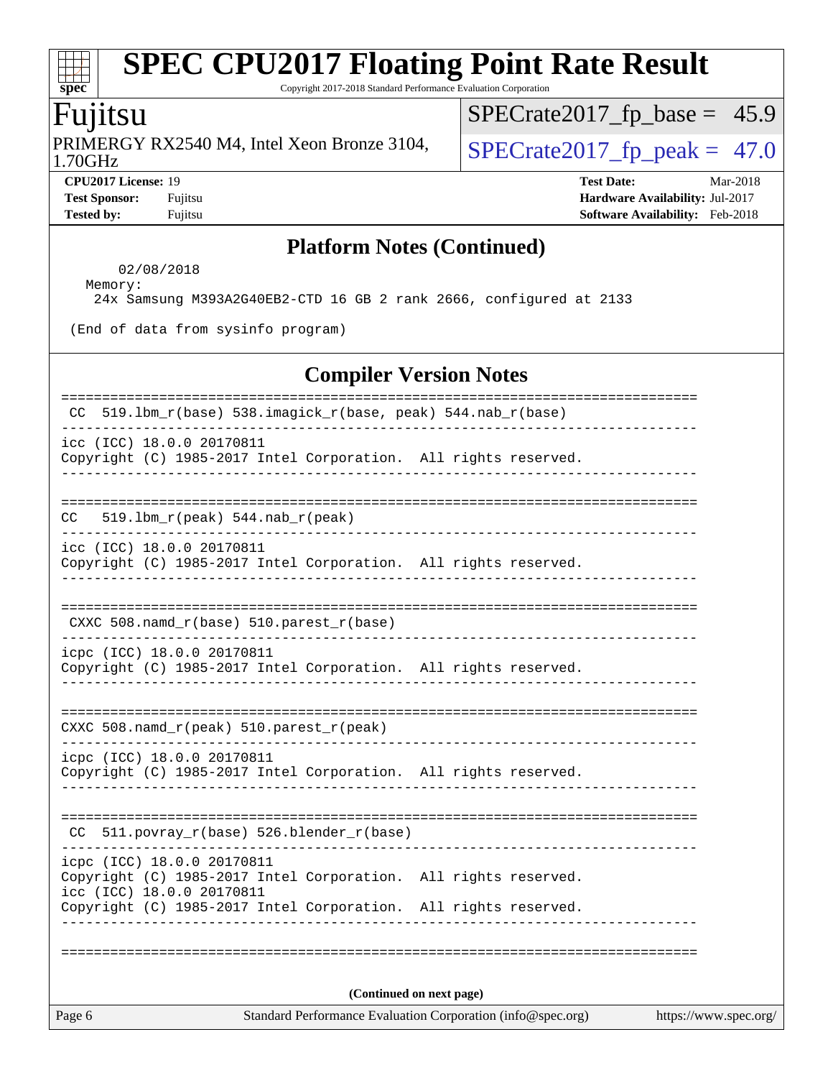Copyright 2017-2018 Standard Performance Evaluation Corporation

## Fujitsu

1.70GHz PRIMERGY RX2540 M4, Intel Xeon Bronze 3104,  $\big|$  SPECrate 2017 fp peak = 47.0

[SPECrate2017\\_fp\\_base =](http://www.spec.org/auto/cpu2017/Docs/result-fields.html#SPECrate2017fpbase) 45.9

**[CPU2017 License:](http://www.spec.org/auto/cpu2017/Docs/result-fields.html#CPU2017License)** 19 **[Test Date:](http://www.spec.org/auto/cpu2017/Docs/result-fields.html#TestDate)** Mar-2018 **[Test Sponsor:](http://www.spec.org/auto/cpu2017/Docs/result-fields.html#TestSponsor)** Fujitsu **[Hardware Availability:](http://www.spec.org/auto/cpu2017/Docs/result-fields.html#HardwareAvailability)** Jul-2017 **[Tested by:](http://www.spec.org/auto/cpu2017/Docs/result-fields.html#Testedby)** Fujitsu **Fugital Example 2018 [Software Availability:](http://www.spec.org/auto/cpu2017/Docs/result-fields.html#SoftwareAvailability)** Feb-2018

#### **[Platform Notes \(Continued\)](http://www.spec.org/auto/cpu2017/Docs/result-fields.html#PlatformNotes)**

02/08/2018

 Memory: 24x Samsung M393A2G40EB2-CTD 16 GB 2 rank 2666, configured at 2133

(End of data from sysinfo program)

#### **[Compiler Version Notes](http://www.spec.org/auto/cpu2017/Docs/result-fields.html#CompilerVersionNotes)**

| Page 6                                                  |                                                                                                                                    | Standard Performance Evaluation Corporation (info@spec.org) | https://www.spec.org/ |
|---------------------------------------------------------|------------------------------------------------------------------------------------------------------------------------------------|-------------------------------------------------------------|-----------------------|
|                                                         |                                                                                                                                    | (Continued on next page)                                    |                       |
|                                                         |                                                                                                                                    |                                                             |                       |
| icpc (ICC) 18.0.0 20170811<br>icc (ICC) 18.0.0 20170811 | Copyright (C) 1985-2017 Intel Corporation. All rights reserved.<br>Copyright (C) 1985-2017 Intel Corporation. All rights reserved. |                                                             |                       |
|                                                         | CC 511.povray_r(base) 526.blender_r(base)                                                                                          |                                                             |                       |
| icpc (ICC) 18.0.0 20170811                              | Copyright (C) 1985-2017 Intel Corporation. All rights reserved.                                                                    |                                                             |                       |
|                                                         | CXXC 508.namd_r(peak) 510.parest_r(peak)                                                                                           |                                                             |                       |
| icpc (ICC) 18.0.0 20170811                              | Copyright (C) 1985-2017 Intel Corporation. All rights reserved.                                                                    |                                                             |                       |
|                                                         | $CXXC 508.namd_r(base) 510.parest_r(base)$                                                                                         |                                                             |                       |
| icc (ICC) 18.0.0 20170811                               | Copyright (C) 1985-2017 Intel Corporation. All rights reserved.                                                                    |                                                             |                       |
| CC                                                      | $519.1bm_r(peak) 544.nab_r(peak)$                                                                                                  |                                                             |                       |
| icc (ICC) 18.0.0 20170811                               | Copyright (C) 1985-2017 Intel Corporation. All rights reserved.                                                                    |                                                             |                       |
| CC .                                                    | 519.1bm_r(base) 538.imagick_r(base, peak) 544.nab_r(base)                                                                          |                                                             |                       |

 $+\prime$ **[spec](http://www.spec.org/)**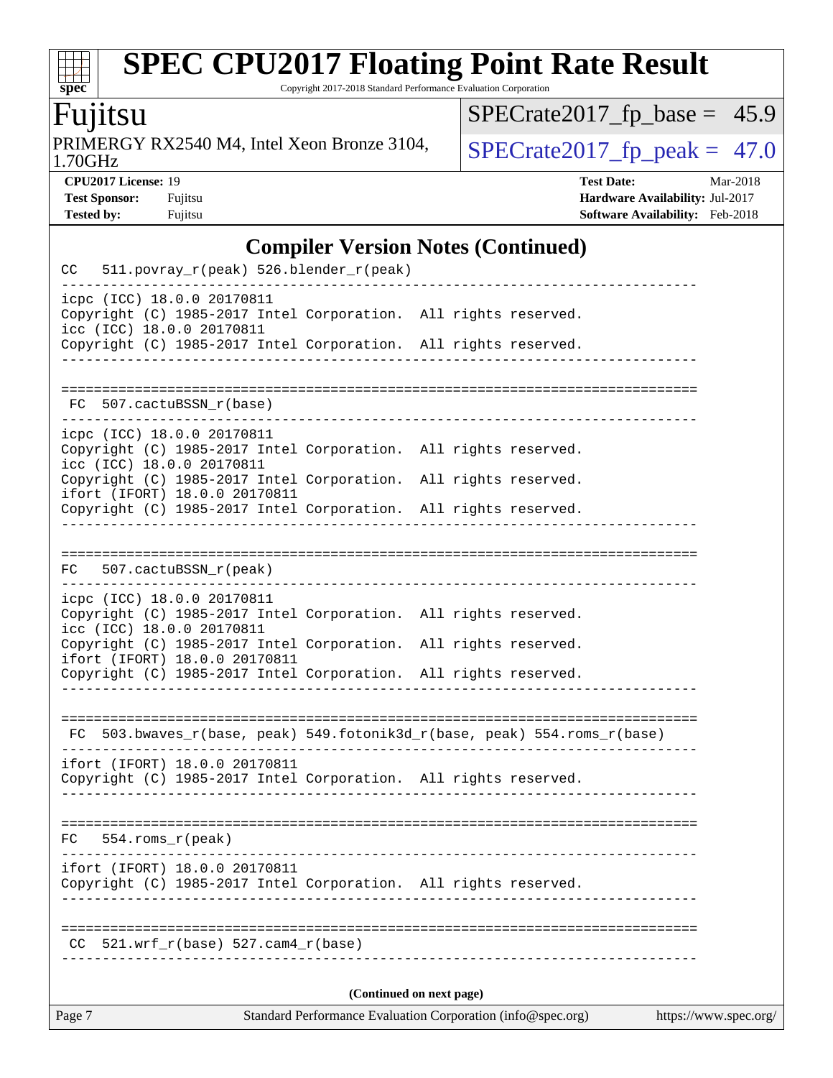Copyright 2017-2018 Standard Performance Evaluation Corporation

## Fujitsu

**[spec](http://www.spec.org/)**

 $+\!\!+\!\!$ 

1.70GHz PRIMERGY RX2540 M4, Intel Xeon Bronze 3104,  $\big|$  SPECrate 2017 fp peak = 47.0

 $SPECrate2017_fp\_base = 45.9$ 

**[CPU2017 License:](http://www.spec.org/auto/cpu2017/Docs/result-fields.html#CPU2017License)** 19 **[Test Date:](http://www.spec.org/auto/cpu2017/Docs/result-fields.html#TestDate)** Mar-2018 **[Test Sponsor:](http://www.spec.org/auto/cpu2017/Docs/result-fields.html#TestSponsor)** Fujitsu **[Hardware Availability:](http://www.spec.org/auto/cpu2017/Docs/result-fields.html#HardwareAvailability)** Jul-2017 **[Tested by:](http://www.spec.org/auto/cpu2017/Docs/result-fields.html#Testedby)** Fujitsu **Fugital Example 2018 [Software Availability:](http://www.spec.org/auto/cpu2017/Docs/result-fields.html#SoftwareAvailability)** Feb-2018

## **[Compiler Version Notes \(Continued\)](http://www.spec.org/auto/cpu2017/Docs/result-fields.html#CompilerVersionNotes)**

| Standard Performance Evaluation Corporation (info@spec.org)<br>https://www.spec.org/<br>Page 7                             |  |                      |  |  |  |
|----------------------------------------------------------------------------------------------------------------------------|--|----------------------|--|--|--|
| (Continued on next page)                                                                                                   |  |                      |  |  |  |
| 521.wrf $r(base)$ 527.cam4 $r(base)$<br>CC.                                                                                |  |                      |  |  |  |
|                                                                                                                            |  |                      |  |  |  |
| ifort (IFORT) 18.0.0 20170811<br>Copyright (C) 1985-2017 Intel Corporation. All rights reserved.                           |  |                      |  |  |  |
| 554.roms_r(peak)<br>FC                                                                                                     |  |                      |  |  |  |
| Copyright (C) 1985-2017 Intel Corporation. All rights reserved.                                                            |  |                      |  |  |  |
| -----------------------------<br>ifort (IFORT) 18.0.0 20170811                                                             |  |                      |  |  |  |
| $FC$ 503.bwaves_r(base, peak) 549.fotonik3d_r(base, peak) 554.roms_r(base)                                                 |  |                      |  |  |  |
| Copyright (C) 1985-2017 Intel Corporation. All rights reserved.                                                            |  |                      |  |  |  |
| Copyright (C) 1985-2017 Intel Corporation.<br>ifort (IFORT) 18.0.0 20170811                                                |  | All rights reserved. |  |  |  |
| icpc (ICC) 18.0.0 20170811<br>Copyright (C) 1985-2017 Intel Corporation. All rights reserved.<br>icc (ICC) 18.0.0 20170811 |  |                      |  |  |  |
| 507.cactuBSSN_r(peak)<br>FC                                                                                                |  |                      |  |  |  |
|                                                                                                                            |  |                      |  |  |  |
| ifort (IFORT) 18.0.0 20170811<br>Copyright (C) 1985-2017 Intel Corporation. All rights reserved.                           |  |                      |  |  |  |
| icc (ICC) 18.0.0 20170811<br>Copyright (C) 1985-2017 Intel Corporation.                                                    |  | All rights reserved. |  |  |  |
| icpc (ICC) 18.0.0 20170811<br>Copyright (C) 1985-2017 Intel Corporation. All rights reserved.                              |  |                      |  |  |  |
| FC 507.cactuBSSN_r(base)                                                                                                   |  |                      |  |  |  |
|                                                                                                                            |  |                      |  |  |  |
| icc (ICC) 18.0.0 20170811<br>Copyright (C) 1985-2017 Intel Corporation. All rights reserved.                               |  |                      |  |  |  |
| icpc (ICC) 18.0.0 20170811<br>Copyright (C) 1985-2017 Intel Corporation. All rights reserved.                              |  |                      |  |  |  |
| 511.povray_r(peak) 526.blender_r(peak)<br>CC                                                                               |  |                      |  |  |  |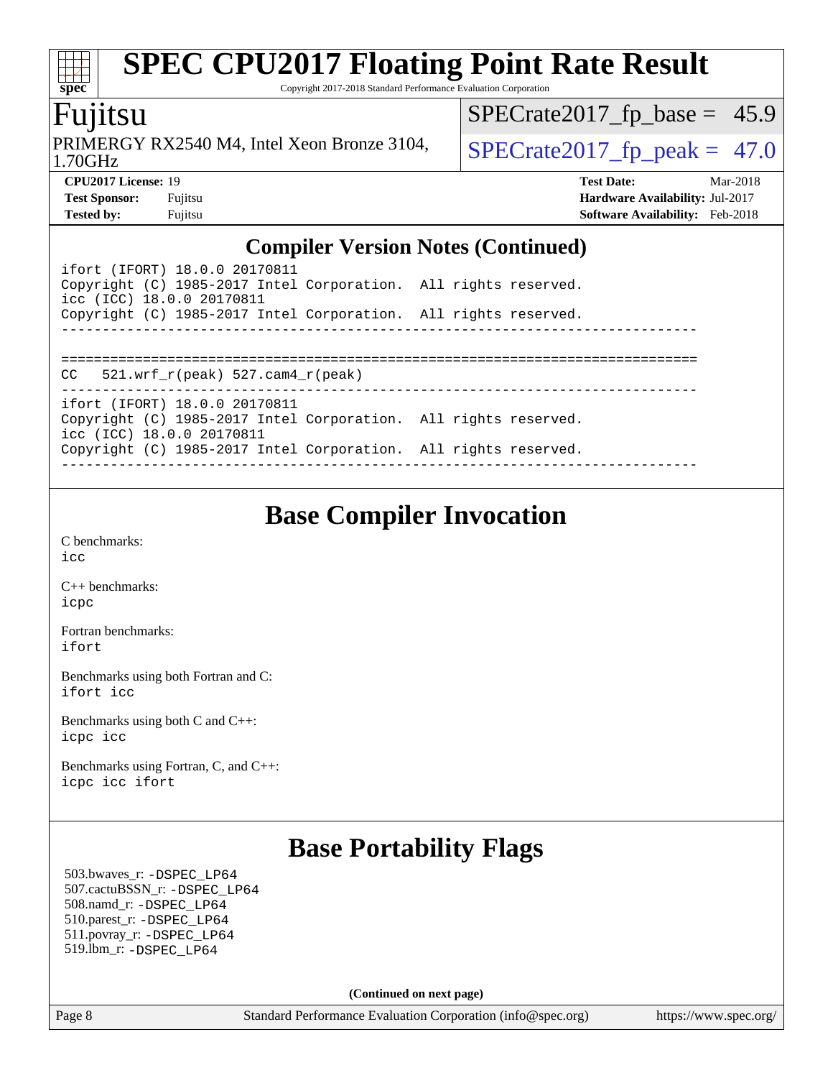Copyright 2017-2018 Standard Performance Evaluation Corporation

## Fujitsu

**[spec](http://www.spec.org/)**

1.70GHz PRIMERGY RX2540 M4, Intel Xeon Bronze 3104,  $\big|$  SPECrate 2017 fp peak = 47.0

 $SPECTate2017_fp\_base = 45.9$ 

**[CPU2017 License:](http://www.spec.org/auto/cpu2017/Docs/result-fields.html#CPU2017License)** 19 **[Test Date:](http://www.spec.org/auto/cpu2017/Docs/result-fields.html#TestDate)** Mar-2018 **[Test Sponsor:](http://www.spec.org/auto/cpu2017/Docs/result-fields.html#TestSponsor)** Fujitsu **[Hardware Availability:](http://www.spec.org/auto/cpu2017/Docs/result-fields.html#HardwareAvailability)** Jul-2017 **[Tested by:](http://www.spec.org/auto/cpu2017/Docs/result-fields.html#Testedby)** Fujitsu **Fugital Example 2018 [Software Availability:](http://www.spec.org/auto/cpu2017/Docs/result-fields.html#SoftwareAvailability)** Feb-2018

### **[Compiler Version Notes \(Continued\)](http://www.spec.org/auto/cpu2017/Docs/result-fields.html#CompilerVersionNotes)**

| ifort (IFORT) 18.0.0 20170811<br>Copyright (C) 1985-2017 Intel Corporation. All rights reserved.<br>icc (ICC) 18.0.0 20170811 |  |  |  |  |  |
|-------------------------------------------------------------------------------------------------------------------------------|--|--|--|--|--|
| Copyright (C) 1985-2017 Intel Corporation. All rights reserved.                                                               |  |  |  |  |  |
|                                                                                                                               |  |  |  |  |  |
|                                                                                                                               |  |  |  |  |  |
| $CC = 521$ .wrf $r(\text{peak}) = 527$ .cam4 $r(\text{peak})$                                                                 |  |  |  |  |  |
|                                                                                                                               |  |  |  |  |  |
| ifort (IFORT) 18.0.0 20170811<br>Copyright (C) 1985-2017 Intel Corporation. All rights reserved.<br>icc (ICC) 18.0.0 20170811 |  |  |  |  |  |
| Copyright (C) 1985-2017 Intel Corporation. All rights reserved.                                                               |  |  |  |  |  |
|                                                                                                                               |  |  |  |  |  |

## **[Base Compiler Invocation](http://www.spec.org/auto/cpu2017/Docs/result-fields.html#BaseCompilerInvocation)**

[C benchmarks](http://www.spec.org/auto/cpu2017/Docs/result-fields.html#Cbenchmarks): [icc](http://www.spec.org/cpu2017/results/res2018q2/cpu2017-20180403-04892.flags.html#user_CCbase_intel_icc_18.0_66fc1ee009f7361af1fbd72ca7dcefbb700085f36577c54f309893dd4ec40d12360134090235512931783d35fd58c0460139e722d5067c5574d8eaf2b3e37e92)

[C++ benchmarks:](http://www.spec.org/auto/cpu2017/Docs/result-fields.html#CXXbenchmarks) [icpc](http://www.spec.org/cpu2017/results/res2018q2/cpu2017-20180403-04892.flags.html#user_CXXbase_intel_icpc_18.0_c510b6838c7f56d33e37e94d029a35b4a7bccf4766a728ee175e80a419847e808290a9b78be685c44ab727ea267ec2f070ec5dc83b407c0218cded6866a35d07)

[Fortran benchmarks](http://www.spec.org/auto/cpu2017/Docs/result-fields.html#Fortranbenchmarks): [ifort](http://www.spec.org/cpu2017/results/res2018q2/cpu2017-20180403-04892.flags.html#user_FCbase_intel_ifort_18.0_8111460550e3ca792625aed983ce982f94888b8b503583aa7ba2b8303487b4d8a21a13e7191a45c5fd58ff318f48f9492884d4413fa793fd88dd292cad7027ca)

[Benchmarks using both Fortran and C](http://www.spec.org/auto/cpu2017/Docs/result-fields.html#BenchmarksusingbothFortranandC): [ifort](http://www.spec.org/cpu2017/results/res2018q2/cpu2017-20180403-04892.flags.html#user_CC_FCbase_intel_ifort_18.0_8111460550e3ca792625aed983ce982f94888b8b503583aa7ba2b8303487b4d8a21a13e7191a45c5fd58ff318f48f9492884d4413fa793fd88dd292cad7027ca) [icc](http://www.spec.org/cpu2017/results/res2018q2/cpu2017-20180403-04892.flags.html#user_CC_FCbase_intel_icc_18.0_66fc1ee009f7361af1fbd72ca7dcefbb700085f36577c54f309893dd4ec40d12360134090235512931783d35fd58c0460139e722d5067c5574d8eaf2b3e37e92)

[Benchmarks using both C and C++](http://www.spec.org/auto/cpu2017/Docs/result-fields.html#BenchmarksusingbothCandCXX): [icpc](http://www.spec.org/cpu2017/results/res2018q2/cpu2017-20180403-04892.flags.html#user_CC_CXXbase_intel_icpc_18.0_c510b6838c7f56d33e37e94d029a35b4a7bccf4766a728ee175e80a419847e808290a9b78be685c44ab727ea267ec2f070ec5dc83b407c0218cded6866a35d07) [icc](http://www.spec.org/cpu2017/results/res2018q2/cpu2017-20180403-04892.flags.html#user_CC_CXXbase_intel_icc_18.0_66fc1ee009f7361af1fbd72ca7dcefbb700085f36577c54f309893dd4ec40d12360134090235512931783d35fd58c0460139e722d5067c5574d8eaf2b3e37e92)

[Benchmarks using Fortran, C, and C++:](http://www.spec.org/auto/cpu2017/Docs/result-fields.html#BenchmarksusingFortranCandCXX) [icpc](http://www.spec.org/cpu2017/results/res2018q2/cpu2017-20180403-04892.flags.html#user_CC_CXX_FCbase_intel_icpc_18.0_c510b6838c7f56d33e37e94d029a35b4a7bccf4766a728ee175e80a419847e808290a9b78be685c44ab727ea267ec2f070ec5dc83b407c0218cded6866a35d07) [icc](http://www.spec.org/cpu2017/results/res2018q2/cpu2017-20180403-04892.flags.html#user_CC_CXX_FCbase_intel_icc_18.0_66fc1ee009f7361af1fbd72ca7dcefbb700085f36577c54f309893dd4ec40d12360134090235512931783d35fd58c0460139e722d5067c5574d8eaf2b3e37e92) [ifort](http://www.spec.org/cpu2017/results/res2018q2/cpu2017-20180403-04892.flags.html#user_CC_CXX_FCbase_intel_ifort_18.0_8111460550e3ca792625aed983ce982f94888b8b503583aa7ba2b8303487b4d8a21a13e7191a45c5fd58ff318f48f9492884d4413fa793fd88dd292cad7027ca)

## **[Base Portability Flags](http://www.spec.org/auto/cpu2017/Docs/result-fields.html#BasePortabilityFlags)**

 503.bwaves\_r: [-DSPEC\\_LP64](http://www.spec.org/cpu2017/results/res2018q2/cpu2017-20180403-04892.flags.html#suite_basePORTABILITY503_bwaves_r_DSPEC_LP64) 507.cactuBSSN\_r: [-DSPEC\\_LP64](http://www.spec.org/cpu2017/results/res2018q2/cpu2017-20180403-04892.flags.html#suite_basePORTABILITY507_cactuBSSN_r_DSPEC_LP64) 508.namd\_r: [-DSPEC\\_LP64](http://www.spec.org/cpu2017/results/res2018q2/cpu2017-20180403-04892.flags.html#suite_basePORTABILITY508_namd_r_DSPEC_LP64) 510.parest\_r: [-DSPEC\\_LP64](http://www.spec.org/cpu2017/results/res2018q2/cpu2017-20180403-04892.flags.html#suite_basePORTABILITY510_parest_r_DSPEC_LP64) 511.povray\_r: [-DSPEC\\_LP64](http://www.spec.org/cpu2017/results/res2018q2/cpu2017-20180403-04892.flags.html#suite_basePORTABILITY511_povray_r_DSPEC_LP64) 519.lbm\_r: [-DSPEC\\_LP64](http://www.spec.org/cpu2017/results/res2018q2/cpu2017-20180403-04892.flags.html#suite_basePORTABILITY519_lbm_r_DSPEC_LP64)

**(Continued on next page)**

Page 8 Standard Performance Evaluation Corporation [\(info@spec.org\)](mailto:info@spec.org) <https://www.spec.org/>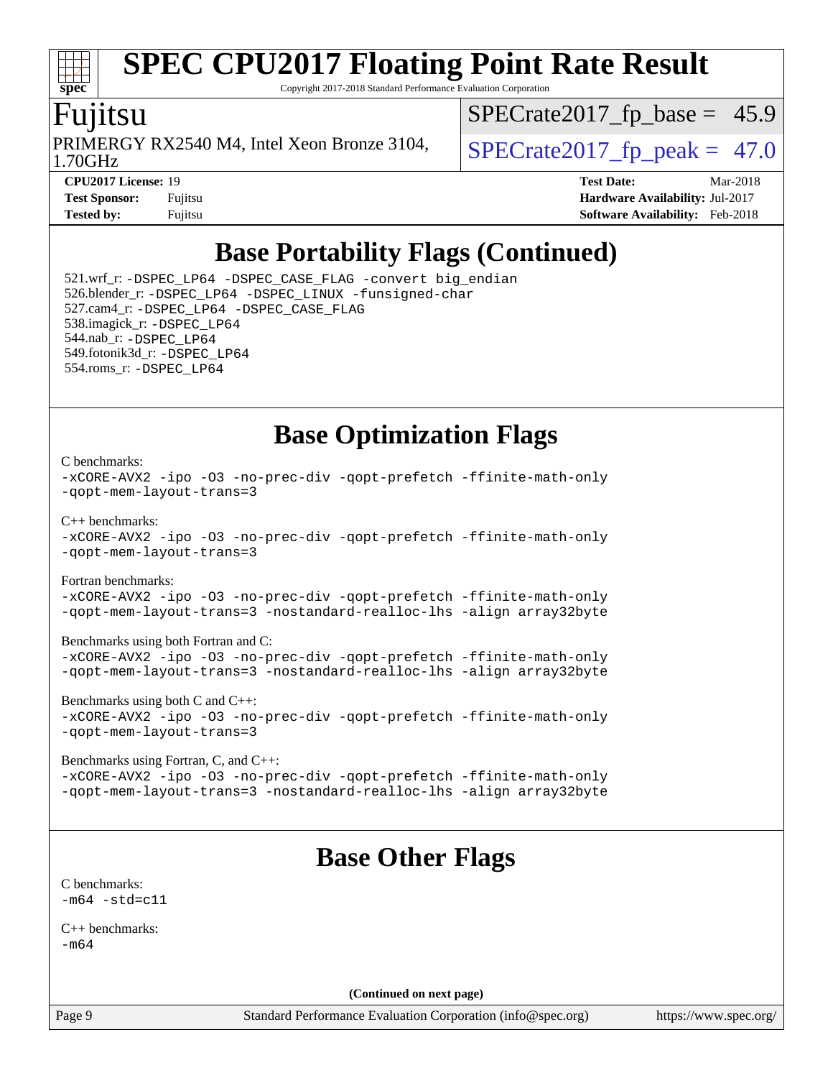# **[spec](http://www.spec.org/)**

# **[SPEC CPU2017 Floating Point Rate Result](http://www.spec.org/auto/cpu2017/Docs/result-fields.html#SPECCPU2017FloatingPointRateResult)**

Copyright 2017-2018 Standard Performance Evaluation Corporation

### Fujitsu

1.70GHz PRIMERGY RX2540 M4, Intel Xeon Bronze 3104,  $\big|$  SPECrate 2017 fp peak = 47.0

 $SPECrate2017_fp\_base = 45.9$ 

**[Tested by:](http://www.spec.org/auto/cpu2017/Docs/result-fields.html#Testedby)** Fujitsu **[Software Availability:](http://www.spec.org/auto/cpu2017/Docs/result-fields.html#SoftwareAvailability)** Feb-2018

**[CPU2017 License:](http://www.spec.org/auto/cpu2017/Docs/result-fields.html#CPU2017License)** 19 **[Test Date:](http://www.spec.org/auto/cpu2017/Docs/result-fields.html#TestDate)** Mar-2018 **[Test Sponsor:](http://www.spec.org/auto/cpu2017/Docs/result-fields.html#TestSponsor)** Fujitsu **[Hardware Availability:](http://www.spec.org/auto/cpu2017/Docs/result-fields.html#HardwareAvailability)** Jul-2017

## **[Base Portability Flags \(Continued\)](http://www.spec.org/auto/cpu2017/Docs/result-fields.html#BasePortabilityFlags)**

 521.wrf\_r: [-DSPEC\\_LP64](http://www.spec.org/cpu2017/results/res2018q2/cpu2017-20180403-04892.flags.html#suite_basePORTABILITY521_wrf_r_DSPEC_LP64) [-DSPEC\\_CASE\\_FLAG](http://www.spec.org/cpu2017/results/res2018q2/cpu2017-20180403-04892.flags.html#b521.wrf_r_baseCPORTABILITY_DSPEC_CASE_FLAG) [-convert big\\_endian](http://www.spec.org/cpu2017/results/res2018q2/cpu2017-20180403-04892.flags.html#user_baseFPORTABILITY521_wrf_r_convert_big_endian_c3194028bc08c63ac5d04de18c48ce6d347e4e562e8892b8bdbdc0214820426deb8554edfa529a3fb25a586e65a3d812c835984020483e7e73212c4d31a38223) 526.blender\_r: [-DSPEC\\_LP64](http://www.spec.org/cpu2017/results/res2018q2/cpu2017-20180403-04892.flags.html#suite_basePORTABILITY526_blender_r_DSPEC_LP64) [-DSPEC\\_LINUX](http://www.spec.org/cpu2017/results/res2018q2/cpu2017-20180403-04892.flags.html#b526.blender_r_baseCPORTABILITY_DSPEC_LINUX) [-funsigned-char](http://www.spec.org/cpu2017/results/res2018q2/cpu2017-20180403-04892.flags.html#user_baseCPORTABILITY526_blender_r_force_uchar_40c60f00ab013830e2dd6774aeded3ff59883ba5a1fc5fc14077f794d777847726e2a5858cbc7672e36e1b067e7e5c1d9a74f7176df07886a243d7cc18edfe67) 527.cam4\_r: [-DSPEC\\_LP64](http://www.spec.org/cpu2017/results/res2018q2/cpu2017-20180403-04892.flags.html#suite_basePORTABILITY527_cam4_r_DSPEC_LP64) [-DSPEC\\_CASE\\_FLAG](http://www.spec.org/cpu2017/results/res2018q2/cpu2017-20180403-04892.flags.html#b527.cam4_r_baseCPORTABILITY_DSPEC_CASE_FLAG) 538.imagick\_r: [-DSPEC\\_LP64](http://www.spec.org/cpu2017/results/res2018q2/cpu2017-20180403-04892.flags.html#suite_basePORTABILITY538_imagick_r_DSPEC_LP64) 544.nab\_r: [-DSPEC\\_LP64](http://www.spec.org/cpu2017/results/res2018q2/cpu2017-20180403-04892.flags.html#suite_basePORTABILITY544_nab_r_DSPEC_LP64) 549.fotonik3d\_r: [-DSPEC\\_LP64](http://www.spec.org/cpu2017/results/res2018q2/cpu2017-20180403-04892.flags.html#suite_basePORTABILITY549_fotonik3d_r_DSPEC_LP64) 554.roms\_r: [-DSPEC\\_LP64](http://www.spec.org/cpu2017/results/res2018q2/cpu2017-20180403-04892.flags.html#suite_basePORTABILITY554_roms_r_DSPEC_LP64)

## **[Base Optimization Flags](http://www.spec.org/auto/cpu2017/Docs/result-fields.html#BaseOptimizationFlags)**

#### [C benchmarks](http://www.spec.org/auto/cpu2017/Docs/result-fields.html#Cbenchmarks):

```
-xCORE-AVX2 -ipo -O3 -no-prec-div -qopt-prefetch -ffinite-math-only
-qopt-mem-layout-trans=3
C++ benchmarks: 
-xCORE-AVX2 -ipo -O3 -no-prec-div -qopt-prefetch -ffinite-math-only
-qopt-mem-layout-trans=3
Fortran benchmarks: 
-xCORE-AVX2 -ipo -O3 -no-prec-div -qopt-prefetch -ffinite-math-only
-qopt-mem-layout-trans=3 -nostandard-realloc-lhs -align array32byte
Benchmarks using both Fortran and C: 
-xCORE-AVX2 -ipo -O3 -no-prec-div -qopt-prefetch -ffinite-math-only
-qopt-mem-layout-trans=3 -nostandard-realloc-lhs -align array32byte
Benchmarks using both C and C++: 
-xCORE-AVX2 -ipo -O3 -no-prec-div -qopt-prefetch -ffinite-math-only
-qopt-mem-layout-trans=3
Benchmarks using Fortran, C, and C++: 
-xCORE-AVX2 -ipo -O3 -no-prec-div -qopt-prefetch -ffinite-math-only
-qopt-mem-layout-trans=3 -nostandard-realloc-lhs -align array32byte
```
## **[Base Other Flags](http://www.spec.org/auto/cpu2017/Docs/result-fields.html#BaseOtherFlags)**

[C benchmarks](http://www.spec.org/auto/cpu2017/Docs/result-fields.html#Cbenchmarks):  $-m64 - std = c11$  $-m64 - std = c11$ 

[C++ benchmarks:](http://www.spec.org/auto/cpu2017/Docs/result-fields.html#CXXbenchmarks) [-m64](http://www.spec.org/cpu2017/results/res2018q2/cpu2017-20180403-04892.flags.html#user_CXXbase_intel_intel64_18.0_af43caccfc8ded86e7699f2159af6efc7655f51387b94da716254467f3c01020a5059329e2569e4053f409e7c9202a7efc638f7a6d1ffb3f52dea4a3e31d82ab)

**(Continued on next page)**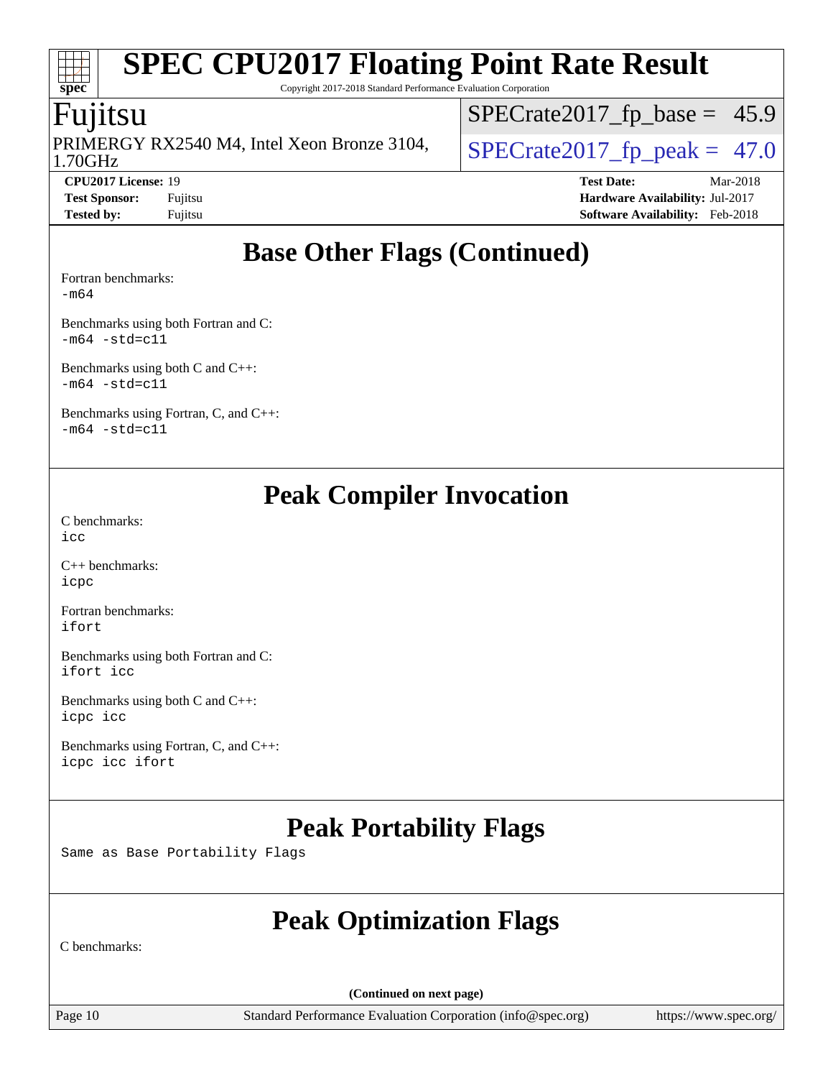Copyright 2017-2018 Standard Performance Evaluation Corporation

## Fujitsu

**[spec](http://www.spec.org/)**

ti li

1.70GHz PRIMERGY RX2540 M4, Intel Xeon Bronze 3104,  $\big|$  SPECrate 2017 fp peak = 47.0

 $SPECTate2017_fp\_base = 45.9$ 

**[CPU2017 License:](http://www.spec.org/auto/cpu2017/Docs/result-fields.html#CPU2017License)** 19 **[Test Date:](http://www.spec.org/auto/cpu2017/Docs/result-fields.html#TestDate)** Mar-2018 **[Test Sponsor:](http://www.spec.org/auto/cpu2017/Docs/result-fields.html#TestSponsor)** Fujitsu **[Hardware Availability:](http://www.spec.org/auto/cpu2017/Docs/result-fields.html#HardwareAvailability)** Jul-2017 **[Tested by:](http://www.spec.org/auto/cpu2017/Docs/result-fields.html#Testedby)** Fujitsu **Fugital Example 2018 [Software Availability:](http://www.spec.org/auto/cpu2017/Docs/result-fields.html#SoftwareAvailability)** Feb-2018

## **[Base Other Flags \(Continued\)](http://www.spec.org/auto/cpu2017/Docs/result-fields.html#BaseOtherFlags)**

[Fortran benchmarks](http://www.spec.org/auto/cpu2017/Docs/result-fields.html#Fortranbenchmarks):

[-m64](http://www.spec.org/cpu2017/results/res2018q2/cpu2017-20180403-04892.flags.html#user_FCbase_intel_intel64_18.0_af43caccfc8ded86e7699f2159af6efc7655f51387b94da716254467f3c01020a5059329e2569e4053f409e7c9202a7efc638f7a6d1ffb3f52dea4a3e31d82ab)

[Benchmarks using both Fortran and C](http://www.spec.org/auto/cpu2017/Docs/result-fields.html#BenchmarksusingbothFortranandC):  $-m64 - std= c11$  $-m64 - std= c11$ 

[Benchmarks using both C and C++](http://www.spec.org/auto/cpu2017/Docs/result-fields.html#BenchmarksusingbothCandCXX):  $-m64$   $-std=cl1$ 

[Benchmarks using Fortran, C, and C++:](http://www.spec.org/auto/cpu2017/Docs/result-fields.html#BenchmarksusingFortranCandCXX)  $-m64$   $-std=cl1$ 

## **[Peak Compiler Invocation](http://www.spec.org/auto/cpu2017/Docs/result-fields.html#PeakCompilerInvocation)**

[C benchmarks](http://www.spec.org/auto/cpu2017/Docs/result-fields.html#Cbenchmarks): [icc](http://www.spec.org/cpu2017/results/res2018q2/cpu2017-20180403-04892.flags.html#user_CCpeak_intel_icc_18.0_66fc1ee009f7361af1fbd72ca7dcefbb700085f36577c54f309893dd4ec40d12360134090235512931783d35fd58c0460139e722d5067c5574d8eaf2b3e37e92)

[C++ benchmarks:](http://www.spec.org/auto/cpu2017/Docs/result-fields.html#CXXbenchmarks) [icpc](http://www.spec.org/cpu2017/results/res2018q2/cpu2017-20180403-04892.flags.html#user_CXXpeak_intel_icpc_18.0_c510b6838c7f56d33e37e94d029a35b4a7bccf4766a728ee175e80a419847e808290a9b78be685c44ab727ea267ec2f070ec5dc83b407c0218cded6866a35d07)

[Fortran benchmarks](http://www.spec.org/auto/cpu2017/Docs/result-fields.html#Fortranbenchmarks): [ifort](http://www.spec.org/cpu2017/results/res2018q2/cpu2017-20180403-04892.flags.html#user_FCpeak_intel_ifort_18.0_8111460550e3ca792625aed983ce982f94888b8b503583aa7ba2b8303487b4d8a21a13e7191a45c5fd58ff318f48f9492884d4413fa793fd88dd292cad7027ca)

[Benchmarks using both Fortran and C](http://www.spec.org/auto/cpu2017/Docs/result-fields.html#BenchmarksusingbothFortranandC): [ifort](http://www.spec.org/cpu2017/results/res2018q2/cpu2017-20180403-04892.flags.html#user_CC_FCpeak_intel_ifort_18.0_8111460550e3ca792625aed983ce982f94888b8b503583aa7ba2b8303487b4d8a21a13e7191a45c5fd58ff318f48f9492884d4413fa793fd88dd292cad7027ca) [icc](http://www.spec.org/cpu2017/results/res2018q2/cpu2017-20180403-04892.flags.html#user_CC_FCpeak_intel_icc_18.0_66fc1ee009f7361af1fbd72ca7dcefbb700085f36577c54f309893dd4ec40d12360134090235512931783d35fd58c0460139e722d5067c5574d8eaf2b3e37e92)

[Benchmarks using both C and C++](http://www.spec.org/auto/cpu2017/Docs/result-fields.html#BenchmarksusingbothCandCXX): [icpc](http://www.spec.org/cpu2017/results/res2018q2/cpu2017-20180403-04892.flags.html#user_CC_CXXpeak_intel_icpc_18.0_c510b6838c7f56d33e37e94d029a35b4a7bccf4766a728ee175e80a419847e808290a9b78be685c44ab727ea267ec2f070ec5dc83b407c0218cded6866a35d07) [icc](http://www.spec.org/cpu2017/results/res2018q2/cpu2017-20180403-04892.flags.html#user_CC_CXXpeak_intel_icc_18.0_66fc1ee009f7361af1fbd72ca7dcefbb700085f36577c54f309893dd4ec40d12360134090235512931783d35fd58c0460139e722d5067c5574d8eaf2b3e37e92)

[Benchmarks using Fortran, C, and C++:](http://www.spec.org/auto/cpu2017/Docs/result-fields.html#BenchmarksusingFortranCandCXX) [icpc](http://www.spec.org/cpu2017/results/res2018q2/cpu2017-20180403-04892.flags.html#user_CC_CXX_FCpeak_intel_icpc_18.0_c510b6838c7f56d33e37e94d029a35b4a7bccf4766a728ee175e80a419847e808290a9b78be685c44ab727ea267ec2f070ec5dc83b407c0218cded6866a35d07) [icc](http://www.spec.org/cpu2017/results/res2018q2/cpu2017-20180403-04892.flags.html#user_CC_CXX_FCpeak_intel_icc_18.0_66fc1ee009f7361af1fbd72ca7dcefbb700085f36577c54f309893dd4ec40d12360134090235512931783d35fd58c0460139e722d5067c5574d8eaf2b3e37e92) [ifort](http://www.spec.org/cpu2017/results/res2018q2/cpu2017-20180403-04892.flags.html#user_CC_CXX_FCpeak_intel_ifort_18.0_8111460550e3ca792625aed983ce982f94888b8b503583aa7ba2b8303487b4d8a21a13e7191a45c5fd58ff318f48f9492884d4413fa793fd88dd292cad7027ca)

## **[Peak Portability Flags](http://www.spec.org/auto/cpu2017/Docs/result-fields.html#PeakPortabilityFlags)**

Same as Base Portability Flags

## **[Peak Optimization Flags](http://www.spec.org/auto/cpu2017/Docs/result-fields.html#PeakOptimizationFlags)**

[C benchmarks:](http://www.spec.org/auto/cpu2017/Docs/result-fields.html#Cbenchmarks)

**(Continued on next page)**

Page 10 Standard Performance Evaluation Corporation [\(info@spec.org\)](mailto:info@spec.org) <https://www.spec.org/>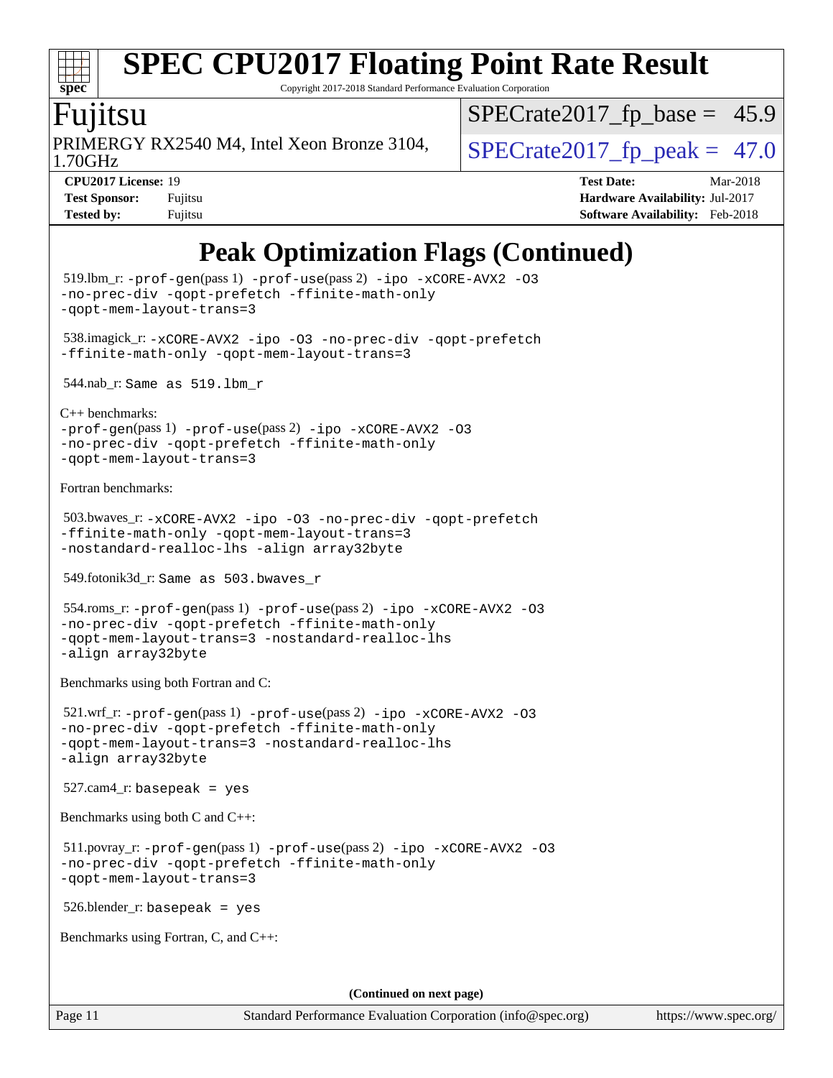#### $\pm t$ **[spec](http://www.spec.org/)**

# **[SPEC CPU2017 Floating Point Rate Result](http://www.spec.org/auto/cpu2017/Docs/result-fields.html#SPECCPU2017FloatingPointRateResult)**

Copyright 2017-2018 Standard Performance Evaluation Corporation

## `untsu

1.70GHz PRIMERGY RX2540 M4, Intel Xeon Bronze 3104,  $\big|$  SPECrate 2017 fp peak = 47.0

 $SPECrate2017_fp\_base = 45.9$ 

**[CPU2017 License:](http://www.spec.org/auto/cpu2017/Docs/result-fields.html#CPU2017License)** 19 **[Test Date:](http://www.spec.org/auto/cpu2017/Docs/result-fields.html#TestDate)** Mar-2018 **[Test Sponsor:](http://www.spec.org/auto/cpu2017/Docs/result-fields.html#TestSponsor)** Fujitsu **[Hardware Availability:](http://www.spec.org/auto/cpu2017/Docs/result-fields.html#HardwareAvailability)** Jul-2017 **[Tested by:](http://www.spec.org/auto/cpu2017/Docs/result-fields.html#Testedby)** Fujitsu **[Software Availability:](http://www.spec.org/auto/cpu2017/Docs/result-fields.html#SoftwareAvailability)** Feb-2018

## **[Peak Optimization Flags \(Continued\)](http://www.spec.org/auto/cpu2017/Docs/result-fields.html#PeakOptimizationFlags)**

```
 519.lbm_r: -prof-gen(pass 1) -prof-use(pass 2) -ipo -xCORE-AVX2 -O3
-no-prec-div -qopt-prefetch -ffinite-math-only
-qopt-mem-layout-trans=3
 538.imagick_r: -xCORE-AVX2 -ipo -O3 -no-prec-div -qopt-prefetch
-ffinite-math-only -qopt-mem-layout-trans=3
 544.nab_r: Same as 519.lbm_r
C++ benchmarks: 
-prof-gen(pass 1) -prof-use(pass 2) -ipo -xCORE-AVX2 -O3
-no-prec-div -qopt-prefetch -ffinite-math-only
-qopt-mem-layout-trans=3
Fortran benchmarks: 
 503.bwaves_r: -xCORE-AVX2 -ipo -O3 -no-prec-div -qopt-prefetch
-ffinite-math-only -qopt-mem-layout-trans=3
-nostandard-realloc-lhs -align array32byte
 549.fotonik3d_r: Same as 503.bwaves_r
 554.roms_r: -prof-gen(pass 1) -prof-use(pass 2) -ipo -xCORE-AVX2 -O3
-no-prec-div -qopt-prefetch -ffinite-math-only
-qopt-mem-layout-trans=3 -nostandard-realloc-lhs
-align array32byte
Benchmarks using both Fortran and C: 
 521.wrf_r: -prof-gen(pass 1) -prof-use(pass 2) -ipo -xCORE-AVX2 -O3
-no-prec-div -qopt-prefetch -ffinite-math-only
-qopt-mem-layout-trans=3 -nostandard-realloc-lhs
-align array32byte
 527.cam4_r: basepeak = yes
Benchmarks using both C and C++: 
 511.povray_r: -prof-gen(pass 1) -prof-use(pass 2) -ipo -xCORE-AVX2 -O3
-no-prec-div -qopt-prefetch -ffinite-math-only
-qopt-mem-layout-trans=3
 526.blender_r: basepeak = yes
Benchmarks using Fortran, C, and C++: 
                                       (Continued on next page)
```